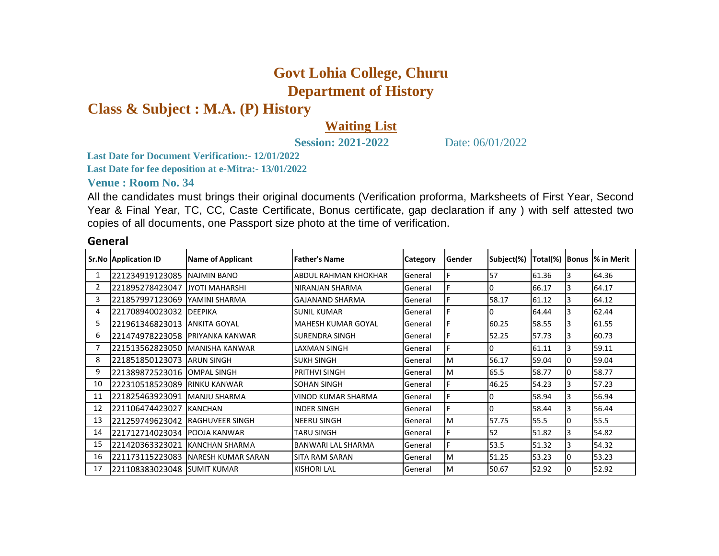## **Govt Lohia College, Churu Department of History**

**Class & Subject : M.A. (P) History**

## **Waiting List**

**Session: 2021-2022** Date: 06/01/2022

**Last Date for Document Verification:- 12/01/2022**

**Last Date for fee deposition at e-Mitra:- 13/01/2022**

**Venue : Room No. 34** 

All the candidates must brings their original documents (Verification proforma, Marksheets of First Year, Second Year & Final Year, TC, CC, Caste Certificate, Bonus certificate, gap declaration if any ) with self attested two copies of all documents, one Passport size photo at the time of verification.

|    | <b>Sr.No Application ID</b> | <b>Name of Applicant</b>  | <b>Father's Name</b>      | <b>Category</b> | Gender | Subject(%) | Total(%)   Bonus |    | % in Merit |
|----|-----------------------------|---------------------------|---------------------------|-----------------|--------|------------|------------------|----|------------|
|    | 221234919123085             | NAJMIN BANO               | ABDUL RAHMAN KHOKHAR      | General         |        | 57         | 61.36            | 3  | 64.36      |
|    | 221895278423047             | <b>JYOTI MAHARSHI</b>     | NIRANJAN SHARMA           | General         |        |            | 66.17            | 3  | 64.17      |
| 3  | 221857997123069             | YAMINI SHARMA             | <b>GAJANAND SHARMA</b>    | General         |        | 58.17      | 61.12            | 3  | 64.12      |
| 4  | 221708940023032             | <b>DEEPIKA</b>            | <b>SUNIL KUMAR</b>        | General         |        |            | 64.44            | 3  | 62.44      |
| 5  | 221961346823013             | <b>ANKITA GOYAL</b>       | <b>MAHESH KUMAR GOYAL</b> | General         |        | 60.25      | 58.55            | 3  | 61.55      |
| 6  | 221474978223058             | <b>PRIYANKA KANWAR</b>    | <b>SURENDRA SINGH</b>     | General         |        | 52.25      | 57.73            | 3  | 60.73      |
|    | 221513562823050             | <b>MANISHA KANWAR</b>     | LAXMAN SINGH              | General         |        |            | 61.11            | 3  | 59.11      |
| 8  | 221851850123073             | <b>ARUN SINGH</b>         | <b>SUKH SINGH</b>         | General         | M      | 56.17      | 59.04            | 10 | 59.04      |
| 9  | 221389872523016             | <b>OMPAL SINGH</b>        | PRITHVI SINGH             | General         | M      | 65.5       | 58.77            | 10 | 58.77      |
| 10 | 222310518523089             | <b>RINKU KANWAR</b>       | <b>SOHAN SINGH</b>        | General         |        | 46.25      | 54.23            | 3  | 57.23      |
| 11 | 221825463923091             | <b>MANJU SHARMA</b>       | VINOD KUMAR SHARMA        | General         |        |            | 58.94            | 3  | 56.94      |
| 12 | 221106474423027             | <b>KANCHAN</b>            | <b>INDER SINGH</b>        | General         |        |            | 58.44            | 3  | 56.44      |
| 13 | 221259749623042             | <b>IRAGHUVEER SINGH</b>   | NEERU SINGH               | General         | M      | 57.75      | 55.5             | 10 | 55.5       |
| 14 | 221712714023034             | <b>POOJA KANWAR</b>       | <b>TARU SINGH</b>         | General         |        | 52         | 51.82            | 3  | 54.82      |
| 15 | 221420363323021             | <b>KANCHAN SHARMA</b>     | BANWARI LAL SHARMA        | General         |        | 53.5       | 51.32            | 3  | 54.32      |
| 16 | 221173115223083             | <b>NARESH KUMAR SARAN</b> | <b>SITA RAM SARAN</b>     | General         | M      | 51.25      | 53.23            | 10 | 53.23      |
| 17 | 221108383023048 SUMIT KUMAR |                           | <b>KISHORI LAL</b>        | General         | ΙM     | 50.67      | 52.92            |    | 52.92      |

## **General**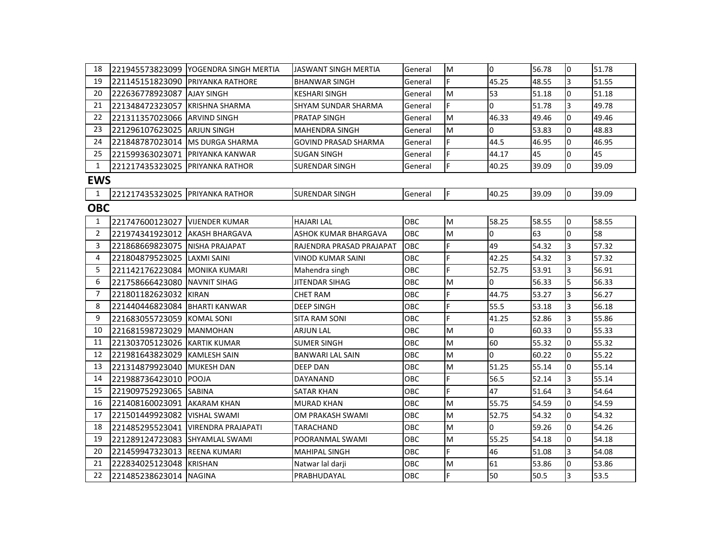| 18             |                                   | 221945573823099   YOGENDRA SINGH MERTIA | JASWANT SINGH MERTIA     | General    | M   | l0             | 56.78 | $\overline{0}$ | 51.78 |
|----------------|-----------------------------------|-----------------------------------------|--------------------------|------------|-----|----------------|-------|----------------|-------|
| 19             | 221145151823090 PRIYANKA RATHORE  |                                         | <b>BHANWAR SINGH</b>     | General    | F.  | 45.25          | 48.55 | 3              | 51.55 |
| 20             | 222636778923087 AJAY SINGH        |                                         | KESHARI SINGH            | General    | M   | 53             | 51.18 | $\overline{0}$ | 51.18 |
| 21             | 221348472323057 KRISHNA SHARMA    |                                         | SHYAM SUNDAR SHARMA      | General    | F.  | 0              | 51.78 | 3              | 49.78 |
| 22             | 221311357023066 ARVIND SINGH      |                                         | PRATAP SINGH             | General    | M   | 46.33          | 49.46 | $\Omega$       | 49.46 |
| 23             | 221296107623025 ARJUN SINGH       |                                         | <b>MAHENDRA SINGH</b>    | General    | M   | $\overline{0}$ | 53.83 | $\Omega$       | 48.83 |
| 24             | 221848787023014   MS DURGA SHARMA |                                         | GOVIND PRASAD SHARMA     | General    | F.  | 44.5           | 46.95 | 0              | 46.95 |
| 25             | 221599363023071                   | <b>PRIYANKA KANWAR</b>                  | SUGAN SINGH              | General    | F.  | 44.17          | 45    | $\overline{0}$ | 45    |
| $\mathbf{1}$   | 221217435323025 IPRIYANKA RATHOR  |                                         | <b>SURENDAR SINGH</b>    | General    | F.  | 40.25          | 39.09 | $\overline{0}$ | 39.09 |
| <b>EWS</b>     |                                   |                                         |                          |            |     |                |       |                |       |
| $\mathbf{1}$   | 221217435323025 PRIYANKA RATHOR   |                                         | <b>SURENDAR SINGH</b>    | General    | IF. | 40.25          | 39.09 | l0             | 39.09 |
| <b>OBC</b>     |                                   |                                         |                          |            |     |                |       |                |       |
| $\mathbf{1}$   | 221747600123027 VIJENDER KUMAR    |                                         | <b>HAJARI LAL</b>        | OBC        | M   | 58.25          | 58.55 | n.             | 58.55 |
| $\overline{2}$ | 221974341923012 AKASH BHARGAVA    |                                         | ASHOK KUMAR BHARGAVA     | OBC        | M   | $\overline{0}$ | 63    | <sup>0</sup>   | 58    |
| 3              | 221868669823075 NISHA PRAJAPAT    |                                         | RAJENDRA PRASAD PRAJAPAT | <b>OBC</b> | F   | 49             | 54.32 | 3              | 57.32 |
| 4              | 221804879523025 LAXMI SAINI       |                                         | VINOD KUMAR SAINI        | <b>OBC</b> | F   | 42.25          | 54.32 | 3              | 57.32 |
| 5              | 221142176223084 MONIKA KUMARI     |                                         | Mahendra singh           | <b>OBC</b> | F.  | 52.75          | 53.91 | 3              | 56.91 |
| 6              | 221758666423080 INAVNIT SIHAG     |                                         | JITENDAR SIHAG           | ОВС        | M   | 0              | 56.33 | 5              | 56.33 |
| $\overline{7}$ | 221801182623032 KIRAN             |                                         | CHET RAM                 | OBC        | F.  | 44.75          | 53.27 | 3              | 56.27 |
| 8              | 221440446823084 BHARTI KANWAR     |                                         | <b>DEEP SINGH</b>        | OBC        | Ė.  | 55.5           | 53.18 | 3              | 56.18 |
| 9              | 221683055723059 KOMAL SONI        |                                         | SITA RAM SONI            | ОВС        | F.  | 41.25          | 52.86 | 3              | 55.86 |
| 10             | 221681598723029 MANMOHAN          |                                         | <b>ARJUN LAL</b>         | OBC        | M   | 0              | 60.33 | $\overline{0}$ | 55.33 |
| 11             | 221303705123026 KARTIK KUMAR      |                                         | <b>SUMER SINGH</b>       | OBC        | M   | 60             | 55.32 | $\Omega$       | 55.32 |
| 12             | 221981643823029 KAMLESH SAIN      |                                         | BANWARI LAL SAIN         | ОВС        | M   | 0              | 60.22 | 0              | 55.22 |
| 13             | 221314879923040 MUKESH DAN        |                                         | DEEP DAN                 | OBC        | M   | 51.25          | 55.14 | $\Omega$       | 55.14 |
| 14             | 221988736423010 POOJA             |                                         | DAYANAND                 | OBC        | F.  | 56.5           | 52.14 | 3              | 55.14 |
| 15             | 221909752923065 SABINA            |                                         | SATAR KHAN               | ОВС        | F.  | 47             | 51.64 | 3              | 54.64 |
| 16             | 221408160023091 AKARAM KHAN       |                                         | MURAD KHAN               | OBC        | M   | 55.75          | 54.59 | $\Omega$       | 54.59 |
| 17             | 221501449923082 VISHAL SWAMI      |                                         | OM PRAKASH SWAMI         | OBC        | M   | 52.75          | 54.32 | 0              | 54.32 |
| 18             |                                   | 221485295523041   VIRENDRA PRAJAPATI    | TARACHAND                | OBC        | M   | 0              | 59.26 | 0              | 54.26 |
| 19             | 221289124723083 SHYAMLAL SWAMI    |                                         | POORANMAL SWAMI          | OBC        | M   | 55.25          | 54.18 | $\overline{0}$ | 54.18 |
| 20             | 221459947323013 REENA KUMARI      |                                         | <b>MAHIPAL SINGH</b>     | OBC        | F.  | 46             | 51.08 | 3              | 54.08 |
| 21             | 222834025123048 KRISHAN           |                                         | Natwar lal darji         | ОВС        | M   | 61             | 53.86 | $\overline{0}$ | 53.86 |
| 22             | 221485238623014 NAGINA            |                                         | PRABHUDAYAL              | OBC        | F   | 50             | 50.5  | 3              | 53.5  |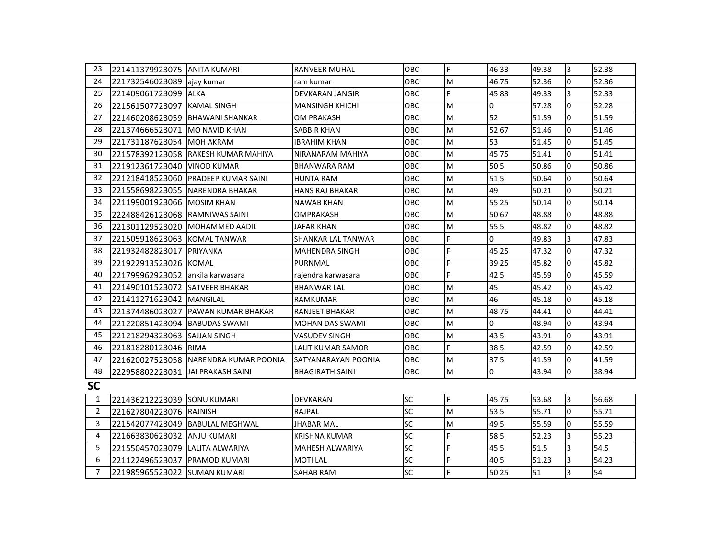| 23             | 221411379923075 JANITA KUMARI   |                                       | <b>RANVEER MUHAL</b>   | <b>OBC</b> | F  | 46.33          | 49.38 | 3              | 52.38 |
|----------------|---------------------------------|---------------------------------------|------------------------|------------|----|----------------|-------|----------------|-------|
| 24             | 221732546023089                 | lajay kumar                           | ram kumar              | OBC        | M  | 46.75          | 52.36 | 0              | 52.36 |
| 25             | 221409061723099                 | <b>ALKA</b>                           | DEVKARAN JANGIR        | OBC        | F. | 45.83          | 49.33 | 3              | 52.33 |
| 26             | 221561507723097                 | <b>KAMAL SINGH</b>                    | <b>MANSINGH KHICHI</b> | <b>OBC</b> | M  | 0              | 57.28 | $\overline{0}$ | 52.28 |
| 27             | 221460208623059                 | <b>BHAWANI SHANKAR</b>                | <b>OM PRAKASH</b>      | <b>OBC</b> | M  | 52             | 51.59 | $\Omega$       | 51.59 |
| 28             | 221374666523071                 | <b>MO NAVID KHAN</b>                  | SABBIR KHAN            | OBC        | M  | 52.67          | 51.46 | 0              | 51.46 |
| 29             | 221731187623054                 | <b>IMOH AKRAM</b>                     | <b>IBRAHIM KHAN</b>    | <b>OBC</b> | M  | 53             | 51.45 | $\overline{0}$ | 51.45 |
| 30             | 221578392123058                 | IRAKESH KUMAR MAHIYA                  | NIRANARAM MAHIYA       | OBC        | M  | 45.75          | 51.41 | $\overline{0}$ | 51.41 |
| 31             | 221912361723040                 | <b>VINOD KUMAR</b>                    | <b>BHANWARA RAM</b>    | OBC        | M  | 50.5           | 50.86 | 0              | 50.86 |
| 32             | 221218418523060                 | <b>PRADEEP KUMAR SAINI</b>            | <b>HUNTA RAM</b>       | OBC        | M  | 51.5           | 50.64 | $\overline{0}$ | 50.64 |
| 33             | 221558698223055 NARENDRA BHAKAR |                                       | <b>HANS RAJ BHAKAR</b> | <b>OBC</b> | M  | 49             | 50.21 | $\overline{0}$ | 50.21 |
| 34             | 221199001923066 MOSIM KHAN      |                                       | NAWAB KHAN             | OBC        | M  | 55.25          | 50.14 | 0              | 50.14 |
| 35             | 222488426123068 RAMNIWAS SAINI  |                                       | OMPRAKASH              | OBC        | M  | 50.67          | 48.88 | $\overline{0}$ | 48.88 |
| 36             | 221301129523020                 | <b>IMOHAMMED AADIL</b>                | <b>JAFAR KHAN</b>      | OBC        | M  | 55.5           | 48.82 | $\overline{0}$ | 48.82 |
| 37             | 221505918623063                 | <b>KOMAL TANWAR</b>                   | SHANKAR LAL TANWAR     | <b>OBC</b> | F  | 0              | 49.83 | 3              | 47.83 |
| 38             | 221932482823017                 | PRIYANKA                              | <b>MAHENDRA SINGH</b>  | OBC        | F  | 45.25          | 47.32 | 0              | 47.32 |
| 39             | 221922913523026 KOMAL           |                                       | PURNMAL                | OBC        | F  | 39.25          | 45.82 | $\overline{0}$ | 45.82 |
| 40             | 221799962923052                 | lankila karwasara                     | rajendra karwasara     | OBC        | F. | 42.5           | 45.59 | $\Omega$       | 45.59 |
| 41             | 221490101523072                 | <b>SATVEER BHAKAR</b>                 | <b>BHANWAR LAL</b>     | <b>OBC</b> | M  | 45             | 45.42 | $\overline{0}$ | 45.42 |
| 42             | 221411271623042                 | <b>MANGILAL</b>                       | <b>RAMKUMAR</b>        | OBC        | M  | 46             | 45.18 | $\overline{0}$ | 45.18 |
| 43             | 221374486023027                 | <b>PAWAN KUMAR BHAKAR</b>             | <b>RANJEET BHAKAR</b>  | OBC        | M  | 48.75          | 44.41 | $\overline{0}$ | 44.41 |
| 44             | 221220851423094                 | <b>BABUDAS SWAMI</b>                  | <b>MOHAN DAS SWAMI</b> | <b>OBC</b> | M  | $\overline{0}$ | 48.94 | $\Omega$       | 43.94 |
| 45             | 221218294323063                 | <b>SAJJAN SINGH</b>                   | VASUDEV SINGH          | OBC        | M  | 43.5           | 43.91 | 0              | 43.91 |
| 46             | 221818280123046                 | <b>RIMA</b>                           | LALIT KUMAR SAMOR      | <b>OBC</b> | F  | 38.5           | 42.59 | 0              | 42.59 |
| 47             |                                 | 221620027523058 NARENDRA KUMAR POONIA | SATYANARAYAN POONIA    | OBC        | M  | 37.5           | 41.59 | 0              | 41.59 |
| 48             | 222958802223031                 | JAI PRAKASH SAINI                     | <b>BHAGIRATH SAINI</b> | OBC        | M  | 0              | 43.94 | 0              | 38.94 |
| <b>SC</b>      |                                 |                                       |                        |            |    |                |       |                |       |
| 1              | 221436212223039 SONU KUMARI     |                                       | DEVKARAN               | <b>SC</b>  | F  | 45.75          | 53.68 | 3              | 56.68 |
| $\overline{2}$ | 221627804223076 RAJNISH         |                                       | RAJPAL                 | SC         | M  | 53.5           | 55.71 | $\overline{0}$ | 55.71 |
| 3              |                                 | 221542077423049 BABULAL MEGHWAL       | <b>JHABAR MAL</b>      | <b>SC</b>  | M  | 49.5           | 55.59 | $\overline{0}$ | 55.59 |
| 4              | 221663830623032                 | <b>JANJU KUMARI</b>                   | <b>KRISHNA KUMAR</b>   | <b>SC</b>  | F  | 58.5           | 52.23 | 3              | 55.23 |
| 5              | 221550457023079                 | LALITA ALWARIYA                       | MAHESH ALWARIYA        | SC         | F. | 45.5           | 51.5  | 3              | 54.5  |
| 6              | 221122496523037                 | <b>PRAMOD KUMARI</b>                  | <b>MOTILAL</b>         | SC         | F  | 40.5           | 51.23 | $\overline{3}$ | 54.23 |
| $\overline{7}$ | 221985965523022 SUMAN KUMARI    |                                       | SAHAB RAM              | <b>SC</b>  | F  | 50.25          | 51    | $\overline{3}$ | 54    |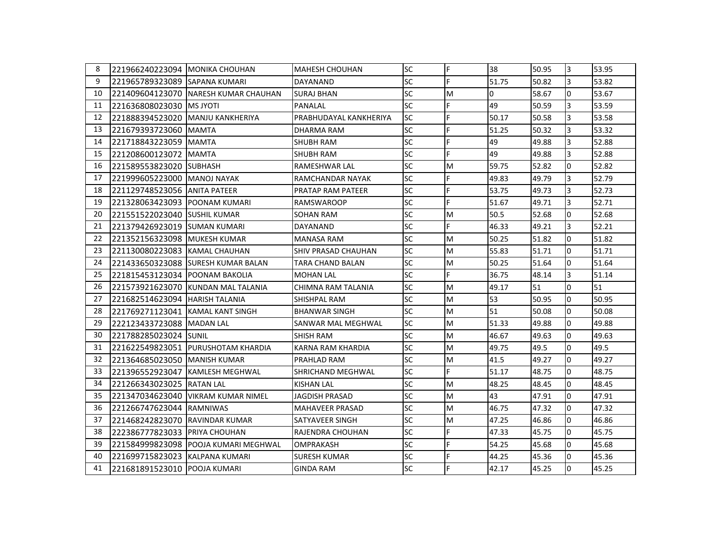| 8  | I221966240223094 IMONIKA CHOUHAN |                                       | <b>MAHESH CHOUHAN</b>      | <b>SC</b> | F | 38             | 50.95 | 3              | 53.95 |
|----|----------------------------------|---------------------------------------|----------------------------|-----------|---|----------------|-------|----------------|-------|
| 9  | 221965789323089 SAPANA KUMARI    |                                       | DAYANAND                   | <b>SC</b> | F | 51.75          | 50.82 | 3              | 53.82 |
| 10 |                                  | 221409604123070  NARESH KUMAR CHAUHAN | <b>SURAJ BHAN</b>          | <b>SC</b> | M | $\overline{0}$ | 58.67 | $\overline{0}$ | 53.67 |
| 11 | 221636808023030 IMS JYOTI        |                                       | PANALAL                    | <b>SC</b> | F | 49             | 50.59 | $\overline{3}$ | 53.59 |
| 12 |                                  | 221888394523020 IMANJU KANKHERIYA     | PRABHUDAYAL KANKHERIYA     | SC        | F | 50.17          | 50.58 | 3              | 53.58 |
| 13 | 221679393723060 MAMTA            |                                       | DHARMA RAM                 | <b>SC</b> | F | 51.25          | 50.32 | 3              | 53.32 |
| 14 | 221718843223059 IMAMTA           |                                       | <b>SHUBH RAM</b>           | <b>SC</b> | F | 49             | 49.88 | 3              | 52.88 |
| 15 | 221208600123072 MAMTA            |                                       | SHUBH RAM                  | SC        | F | 49             | 49.88 | 3              | 52.88 |
| 16 | 221589553823020 SUBHASH          |                                       | RAMESHWAR LAL              | <b>SC</b> | M | 59.75          | 52.82 | $\overline{0}$ | 52.82 |
| 17 | 221999605223000 MANOJ NAYAK      |                                       | RAMCHANDAR NAYAK           | <b>SC</b> | F | 49.83          | 49.79 | $\overline{3}$ | 52.79 |
| 18 | 221129748523056 ANITA PATEER     |                                       | <b>PRATAP RAM PATEER</b>   | <b>SC</b> | F | 53.75          | 49.73 | 3              | 52.73 |
| 19 |                                  |                                       | <b>RAMSWAROOP</b>          | <b>SC</b> | F | 51.67          | 49.71 | 3              | 52.71 |
| 20 | 1221551522023040 ISUSHIL KUMAR   |                                       | SOHAN RAM                  | <b>SC</b> | M | 50.5           | 52.68 | n.             | 52.68 |
| 21 | 221379426923019 SUMAN KUMARI     |                                       | DAYANAND                   | <b>SC</b> | F | 46.33          | 49.21 | 3              | 52.21 |
| 22 | 221352156323098 MUKESH KUMAR     |                                       | MANASA RAM                 | <b>SC</b> | M | 50.25          | 51.82 | n.             | 51.82 |
| 23 | 221130080223083 KAMAL CHAUHAN    |                                       | <b>SHIV PRASAD CHAUHAN</b> | <b>SC</b> | M | 55.83          | 51.71 | $\overline{0}$ | 51.71 |
| 24 |                                  | 221433650323088 ISURESH KUMAR BALAN   | TARA CHAND BALAN           | <b>SC</b> | M | 50.25          | 51.64 | $\overline{0}$ | 51.64 |
| 25 | 221815453123034 POONAM BAKOLIA   |                                       | <b>MOHAN LAL</b>           | <b>SC</b> | F | 36.75          | 48.14 | 3              | 51.14 |
| 26 |                                  | 221573921623070 KUNDAN MALTALANIA     | CHIMNA RAM TALANIA         | <b>SC</b> | M | 49.17          | 51    | $\overline{0}$ | 51    |
| 27 | 221682514623094 HARISH TALANIA   |                                       | SHISHPAL RAM               | <b>SC</b> | M | 53             | 50.95 | l0             | 50.95 |
| 28 | 221769271123041 KAMAL KANT SINGH |                                       | <b>BHANWAR SINGH</b>       | <b>SC</b> | M | 51             | 50.08 | n.             | 50.08 |
| 29 | 222123433723088 MADAN LAL        |                                       | SANWAR MAL MEGHWAL         | <b>SC</b> | M | 51.33          | 49.88 | $\overline{0}$ | 49.88 |
| 30 | 221788285023024 SUNIL            |                                       | SHISH RAM                  | <b>SC</b> | M | 46.67          | 49.63 | n.             | 49.63 |
| 31 |                                  | 221622549823051 PURUSHOTAM KHARDIA    | KARNA RAM KHARDIA          | <b>SC</b> | M | 49.75          | 49.5  | $\overline{0}$ | 49.5  |
| 32 | 221364685023050 MANISH KUMAR     |                                       | <b>PRAHLAD RAM</b>         | <b>SC</b> | M | 41.5           | 49.27 | $\overline{0}$ | 49.27 |
| 33 |                                  | 221396552923047 KAMLESH MEGHWAL       | SHRICHAND MEGHWAL          | <b>SC</b> | F | 51.17          | 48.75 | l0             | 48.75 |
| 34 | 221266343023025 RATAN LAL        |                                       | KISHAN LAL                 | <b>SC</b> | M | 48.25          | 48.45 | $\overline{0}$ | 48.45 |
| 35 |                                  | 1221347034623040 IVIKRAM KUMAR NIMEL  | <b>JAGDISH PRASAD</b>      | SC        | M | 43             | 47.91 | $\overline{0}$ | 47.91 |
| 36 | 221266747623044 RAMNIWAS         |                                       | <b>MAHAVEER PRASAD</b>     | <b>SC</b> | M | 46.75          | 47.32 | <sup>0</sup>   | 47.32 |
| 37 | 221468242823070 RAVINDAR KUMAR   |                                       | SATYAVEER SINGH            | <b>SC</b> | M | 47.25          | 46.86 | $\overline{0}$ | 46.86 |
| 38 | 1222386777823033 IPRIYA CHOUHAN  |                                       | RAJENDRA CHOUHAN           | SC        | F | 47.33          | 45.75 | l0             | 45.75 |
| 39 |                                  | 221584999823098 POOJA KUMARI MEGHWAL  | <b>OMPRAKASH</b>           | <b>SC</b> | F | 54.25          | 45.68 | $\Omega$       | 45.68 |
| 40 | 221699715823023 KALPANA KUMARI   |                                       | <b>SURESH KUMAR</b>        | <b>SC</b> | F | 44.25          | 45.36 | n.             | 45.36 |
| 41 | 221681891523010 POOJA KUMARI     |                                       | <b>GINDA RAM</b>           | <b>SC</b> | F | 42.17          | 45.25 | $\Omega$       | 45.25 |